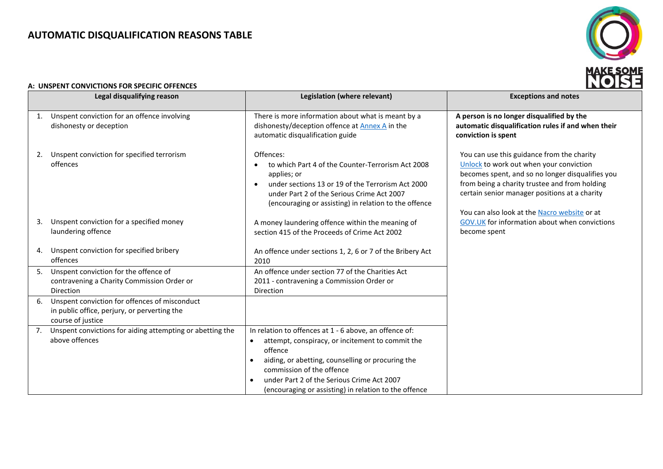# **AUTOMATIC DISQUALIFICATION REASONS TABLE**



### **A: UNSPENT CONVICTIONS FOR SPECIFIC OFFENCES**

| Legal disqualifying reason |                                                                                                                    | Legislation (where relevant)                                                                                                                                                                                                                                                                                                             | <b>Exceptions and notes</b>                                                                                                                                                                                                                                                                 |
|----------------------------|--------------------------------------------------------------------------------------------------------------------|------------------------------------------------------------------------------------------------------------------------------------------------------------------------------------------------------------------------------------------------------------------------------------------------------------------------------------------|---------------------------------------------------------------------------------------------------------------------------------------------------------------------------------------------------------------------------------------------------------------------------------------------|
| 1.                         | Unspent conviction for an offence involving<br>dishonesty or deception                                             | There is more information about what is meant by a<br>dishonesty/deception offence at Annex A in the<br>automatic disqualification guide                                                                                                                                                                                                 | A person is no longer disqualified by the<br>automatic disqualification rules if and when their<br>conviction is spent                                                                                                                                                                      |
|                            | Unspent conviction for specified terrorism<br>offences                                                             | Offences:<br>to which Part 4 of the Counter-Terrorism Act 2008<br>applies; or<br>under sections 13 or 19 of the Terrorism Act 2000<br>under Part 2 of the Serious Crime Act 2007<br>(encouraging or assisting) in relation to the offence                                                                                                | You can use this guidance from the charity<br>Unlock to work out when your conviction<br>becomes spent, and so no longer disqualifies you<br>from being a charity trustee and from holding<br>certain senior manager positions at a charity<br>You can also look at the Nacro website or at |
| 3.                         | Unspent conviction for a specified money<br>laundering offence                                                     | A money laundering offence within the meaning of<br>section 415 of the Proceeds of Crime Act 2002                                                                                                                                                                                                                                        | GOV.UK for information about when convictions<br>become spent                                                                                                                                                                                                                               |
|                            | Unspent conviction for specified bribery<br>offences                                                               | An offence under sections 1, 2, 6 or 7 of the Bribery Act<br>2010                                                                                                                                                                                                                                                                        |                                                                                                                                                                                                                                                                                             |
| 5.                         | Unspent conviction for the offence of<br>contravening a Charity Commission Order or<br><b>Direction</b>            | An offence under section 77 of the Charities Act<br>2011 - contravening a Commission Order or<br><b>Direction</b>                                                                                                                                                                                                                        |                                                                                                                                                                                                                                                                                             |
| 6.                         | Unspent conviction for offences of misconduct<br>in public office, perjury, or perverting the<br>course of justice |                                                                                                                                                                                                                                                                                                                                          |                                                                                                                                                                                                                                                                                             |
| 7.                         | Unspent convictions for aiding attempting or abetting the<br>above offences                                        | In relation to offences at 1 - 6 above, an offence of:<br>attempt, conspiracy, or incitement to commit the<br>$\bullet$<br>offence<br>aiding, or abetting, counselling or procuring the<br>$\bullet$<br>commission of the offence<br>under Part 2 of the Serious Crime Act 2007<br>(encouraging or assisting) in relation to the offence |                                                                                                                                                                                                                                                                                             |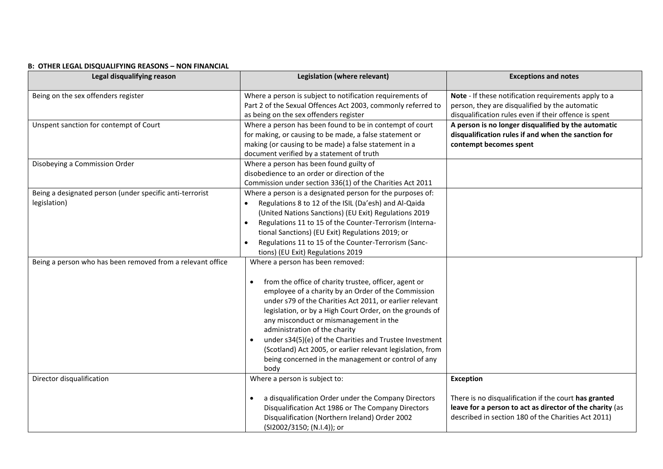| Legal disqualifying reason                                               | Legislation (where relevant)                                                                                                                                                                                                                                                                                                                                                                                                                                                                                                                             | <b>Exceptions and notes</b>                                                                                                                                                                  |
|--------------------------------------------------------------------------|----------------------------------------------------------------------------------------------------------------------------------------------------------------------------------------------------------------------------------------------------------------------------------------------------------------------------------------------------------------------------------------------------------------------------------------------------------------------------------------------------------------------------------------------------------|----------------------------------------------------------------------------------------------------------------------------------------------------------------------------------------------|
| Being on the sex offenders register                                      | Where a person is subject to notification requirements of<br>Part 2 of the Sexual Offences Act 2003, commonly referred to<br>as being on the sex offenders register                                                                                                                                                                                                                                                                                                                                                                                      | Note - If these notification requirements apply to a<br>person, they are disqualified by the automatic<br>disqualification rules even if their offence is spent                              |
| Unspent sanction for contempt of Court                                   | Where a person has been found to be in contempt of court<br>for making, or causing to be made, a false statement or<br>making (or causing to be made) a false statement in a<br>document verified by a statement of truth                                                                                                                                                                                                                                                                                                                                | A person is no longer disqualified by the automatic<br>disqualification rules if and when the sanction for<br>contempt becomes spent                                                         |
| Disobeying a Commission Order                                            | Where a person has been found guilty of<br>disobedience to an order or direction of the<br>Commission under section 336(1) of the Charities Act 2011                                                                                                                                                                                                                                                                                                                                                                                                     |                                                                                                                                                                                              |
| Being a designated person (under specific anti-terrorist<br>legislation) | Where a person is a designated person for the purposes of:<br>Regulations 8 to 12 of the ISIL (Da'esh) and Al-Qaida<br>$\bullet$<br>(United Nations Sanctions) (EU Exit) Regulations 2019<br>Regulations 11 to 15 of the Counter-Terrorism (Interna-<br>$\bullet$<br>tional Sanctions) (EU Exit) Regulations 2019; or<br>Regulations 11 to 15 of the Counter-Terrorism (Sanc-<br>$\bullet$<br>tions) (EU Exit) Regulations 2019                                                                                                                          |                                                                                                                                                                                              |
| Being a person who has been removed from a relevant office               | Where a person has been removed:<br>from the office of charity trustee, officer, agent or<br>$\bullet$<br>employee of a charity by an Order of the Commission<br>under s79 of the Charities Act 2011, or earlier relevant<br>legislation, or by a High Court Order, on the grounds of<br>any misconduct or mismanagement in the<br>administration of the charity<br>under s34(5)(e) of the Charities and Trustee Investment<br>(Scotland) Act 2005, or earlier relevant legislation, from<br>being concerned in the management or control of any<br>body |                                                                                                                                                                                              |
| Director disqualification                                                | Where a person is subject to:<br>a disqualification Order under the Company Directors<br>$\bullet$<br>Disqualification Act 1986 or The Company Directors<br>Disqualification (Northern Ireland) Order 2002<br>(SI2002/3150; (N.I.4)); or                                                                                                                                                                                                                                                                                                                 | <b>Exception</b><br>There is no disqualification if the court has granted<br>leave for a person to act as director of the charity (as<br>described in section 180 of the Charities Act 2011) |

## **B: OTHER LEGAL DISQUALIFYING REASONS – NON FINANCIAL**